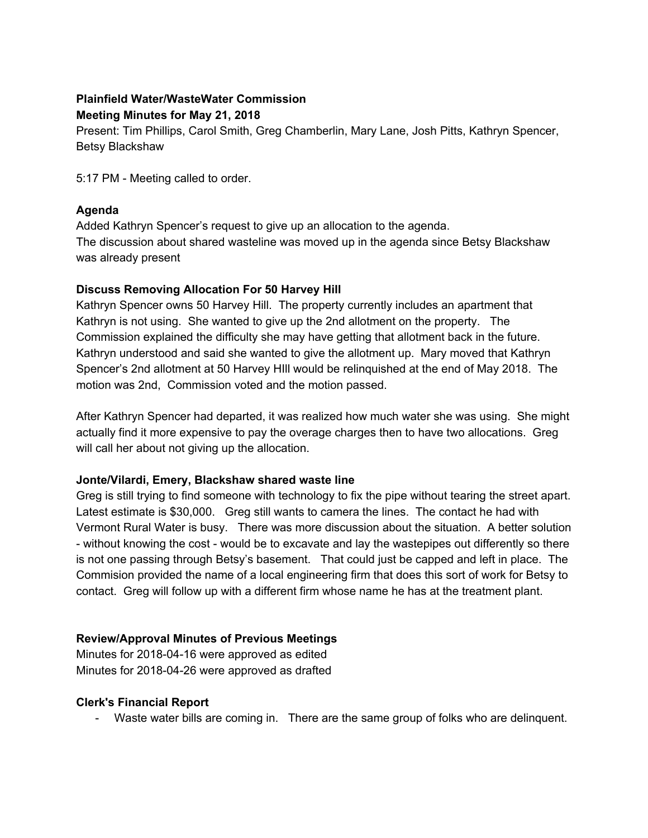# **Plainfield Water/WasteWater Commission Meeting Minutes for May 21, 2018**

Present: Tim Phillips, Carol Smith, Greg Chamberlin, Mary Lane, Josh Pitts, Kathryn Spencer, Betsy Blackshaw

5:17 PM - Meeting called to order.

## **Agenda**

Added Kathryn Spencer's request to give up an allocation to the agenda. The discussion about shared wasteline was moved up in the agenda since Betsy Blackshaw was already present

## **Discuss Removing Allocation For 50 Harvey Hill**

Kathryn Spencer owns 50 Harvey Hill. The property currently includes an apartment that Kathryn is not using. She wanted to give up the 2nd allotment on the property. The Commission explained the difficulty she may have getting that allotment back in the future. Kathryn understood and said she wanted to give the allotment up. Mary moved that Kathryn Spencer's 2nd allotment at 50 Harvey HIll would be relinquished at the end of May 2018. The motion was 2nd, Commission voted and the motion passed.

After Kathryn Spencer had departed, it was realized how much water she was using. She might actually find it more expensive to pay the overage charges then to have two allocations. Greg will call her about not giving up the allocation.

## **Jonte/Vilardi, Emery, Blackshaw shared waste line**

Greg is still trying to find someone with technology to fix the pipe without tearing the street apart. Latest estimate is \$30,000. Greg still wants to camera the lines. The contact he had with Vermont Rural Water is busy. There was more discussion about the situation. A better solution - without knowing the cost - would be to excavate and lay the wastepipes out differently so there is not one passing through Betsy's basement. That could just be capped and left in place. The Commision provided the name of a local engineering firm that does this sort of work for Betsy to contact. Greg will follow up with a different firm whose name he has at the treatment plant.

## **Review/Approval Minutes of Previous Meetings**

Minutes for 2018-04-16 were approved as edited Minutes for 2018-04-26 were approved as drafted

## **Clerk's Financial Report**

- Waste water bills are coming in. There are the same group of folks who are delinquent.